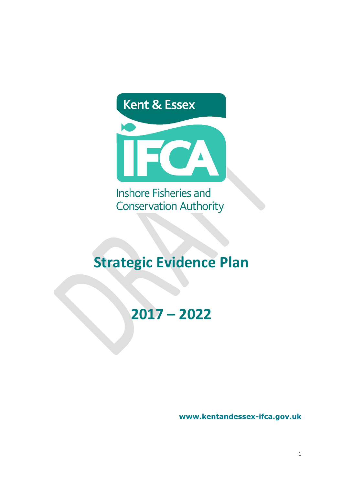

# **Strategic Evidence Plan**

**2017 – 2022**

**www.kentandessex-ifca.gov.uk**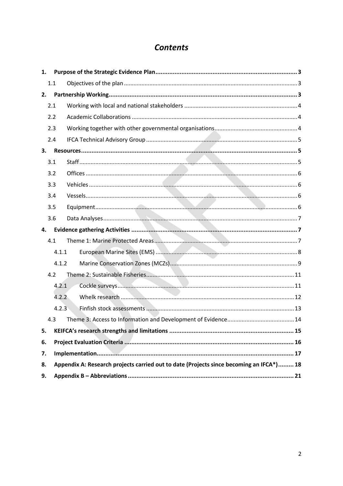# **Contents**

| 1. |       |                                                                                         |  |  |  |  |  |  |
|----|-------|-----------------------------------------------------------------------------------------|--|--|--|--|--|--|
|    | 1.1   |                                                                                         |  |  |  |  |  |  |
| 2. |       |                                                                                         |  |  |  |  |  |  |
|    | 2.1   |                                                                                         |  |  |  |  |  |  |
|    | 2.2   |                                                                                         |  |  |  |  |  |  |
|    | 2.3   |                                                                                         |  |  |  |  |  |  |
|    | 2.4   |                                                                                         |  |  |  |  |  |  |
| 3. |       |                                                                                         |  |  |  |  |  |  |
|    | 3.1   |                                                                                         |  |  |  |  |  |  |
|    | 3.2   |                                                                                         |  |  |  |  |  |  |
|    | 3.3   |                                                                                         |  |  |  |  |  |  |
|    | 3.4   |                                                                                         |  |  |  |  |  |  |
|    | 3.5   |                                                                                         |  |  |  |  |  |  |
|    | 3.6   |                                                                                         |  |  |  |  |  |  |
| 4. |       |                                                                                         |  |  |  |  |  |  |
|    | 4.1   |                                                                                         |  |  |  |  |  |  |
|    | 4.1.1 |                                                                                         |  |  |  |  |  |  |
|    | 4.1.2 |                                                                                         |  |  |  |  |  |  |
|    | 4.2   |                                                                                         |  |  |  |  |  |  |
|    | 4.2.1 |                                                                                         |  |  |  |  |  |  |
|    | 4.2.2 |                                                                                         |  |  |  |  |  |  |
|    | 4.2.3 |                                                                                         |  |  |  |  |  |  |
|    | 4.3   |                                                                                         |  |  |  |  |  |  |
| 5. |       |                                                                                         |  |  |  |  |  |  |
| 6. |       |                                                                                         |  |  |  |  |  |  |
| 7. |       |                                                                                         |  |  |  |  |  |  |
| 8. |       | Appendix A: Research projects carried out to date (Projects since becoming an IFCA*) 18 |  |  |  |  |  |  |
| 9. |       |                                                                                         |  |  |  |  |  |  |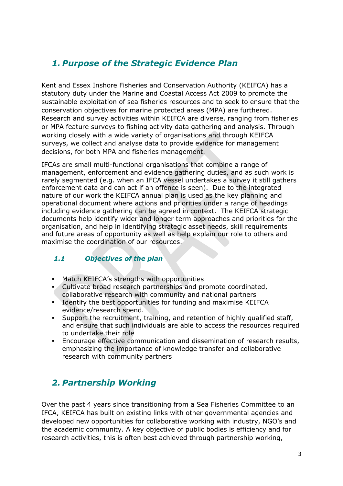# <span id="page-2-0"></span>*1. Purpose of the Strategic Evidence Plan*

Kent and Essex Inshore Fisheries and Conservation Authority (KEIFCA) has a statutory duty under the Marine and Coastal Access Act 2009 to promote the sustainable exploitation of sea fisheries resources and to seek to ensure that the conservation objectives for marine protected areas (MPA) are furthered. Research and survey activities within KEIFCA are diverse, ranging from fisheries or MPA feature surveys to fishing activity data gathering and analysis. Through working closely with a wide variety of organisations and through KEIFCA surveys, we collect and analyse data to provide evidence for management decisions, for both MPA and fisheries management.

IFCAs are small multi-functional organisations that combine a range of management, enforcement and evidence gathering duties, and as such work is rarely segmented (e.g. when an IFCA vessel undertakes a survey it still gathers enforcement data and can act if an offence is seen). Due to the integrated nature of our work the KEIFCA annual plan is used as the key planning and operational document where actions and priorities under a range of headings including evidence gathering can be agreed in context. The KEIFCA strategic documents help identify wider and longer term approaches and priorities for the organisation, and help in identifying strategic asset needs, skill requirements and future areas of opportunity as well as help explain our role to others and maximise the coordination of our resources.

# <span id="page-2-1"></span>*1.1 Objectives of the plan*

- Match KEIFCA's strengths with opportunities
- Cultivate broad research partnerships and promote coordinated, collaborative research with community and national partners
- **IDENTIFY THE SET OPPORTIVALES** for funding and maximise KEIFCA evidence/research spend.
- Support the recruitment, training, and retention of highly qualified staff, and ensure that such individuals are able to access the resources required to undertake their role
- Encourage effective communication and dissemination of research results, emphasizing the importance of knowledge transfer and collaborative research with community partners

# <span id="page-2-2"></span>*2. Partnership Working*

Over the past 4 years since transitioning from a Sea Fisheries Committee to an IFCA, KEIFCA has built on existing links with other governmental agencies and developed new opportunities for collaborative working with industry, NGO's and the academic community. A key objective of public bodies is efficiency and for research activities, this is often best achieved through partnership working,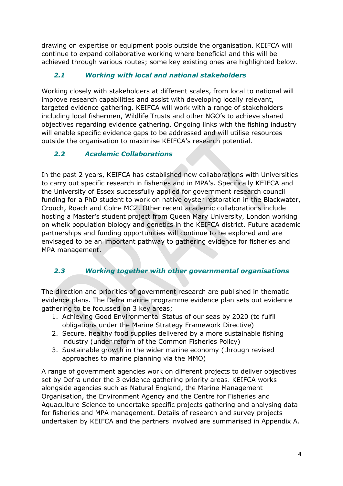drawing on expertise or equipment pools outside the organisation. KEIFCA will continue to expand collaborative working where beneficial and this will be achieved through various routes; some key existing ones are highlighted below.

# <span id="page-3-0"></span>*2.1 Working with local and national stakeholders*

Working closely with stakeholders at different scales, from local to national will improve research capabilities and assist with developing locally relevant, targeted evidence gathering. KEIFCA will work with a range of stakeholders including local fishermen, Wildlife Trusts and other NGO's to achieve shared objectives regarding evidence gathering. Ongoing links with the fishing industry will enable specific evidence gaps to be addressed and will utilise resources outside the organisation to maximise KEIFCA's research potential.

# <span id="page-3-1"></span>*2.2 Academic Collaborations*

In the past 2 years, KEIFCA has established new collaborations with Universities to carry out specific research in fisheries and in MPA's. Specifically KEIFCA and the University of Essex successfully applied for government research council funding for a PhD student to work on native oyster restoration in the Blackwater, Crouch, Roach and Colne MCZ. Other recent academic collaborations include hosting a Master's student project from Queen Mary University, London working on whelk population biology and genetics in the KEIFCA district. Future academic partnerships and funding opportunities will continue to be explored and are envisaged to be an important pathway to gathering evidence for fisheries and MPA management.

# <span id="page-3-2"></span>*2.3 Working together with other governmental organisations*

The direction and priorities of government research are published in thematic evidence plans. The Defra marine programme evidence plan sets out evidence gathering to be focussed on 3 key areas;

- 1. Achieving Good Environmental Status of our seas by 2020 (to fulfil obligations under the Marine Strategy Framework Directive)
- 2. Secure, healthy food supplies delivered by a more sustainable fishing industry (under reform of the Common Fisheries Policy)
- 3. Sustainable growth in the wider marine economy (through revised approaches to marine planning via the MMO)

A range of government agencies work on different projects to deliver objectives set by Defra under the 3 evidence gathering priority areas. KEIFCA works alongside agencies such as Natural England, the Marine Management Organisation, the Environment Agency and the Centre for Fisheries and Aquaculture Science to undertake specific projects gathering and analysing data for fisheries and MPA management. Details of research and survey projects undertaken by KEIFCA and the partners involved are summarised in Appendix A.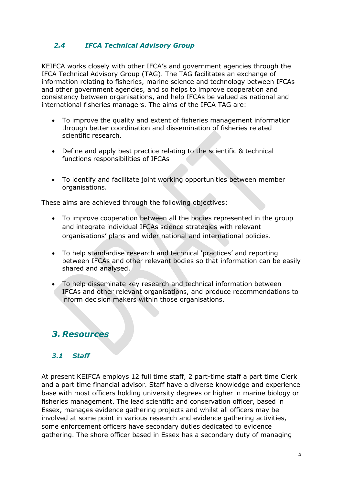## <span id="page-4-0"></span>*2.4 IFCA Technical Advisory Group*

KEIFCA works closely with other IFCA's and government agencies through the IFCA Technical Advisory Group (TAG). The TAG facilitates an exchange of information relating to fisheries, marine science and technology between IFCAs and other government agencies, and so helps to improve cooperation and consistency between organisations, and help IFCAs be valued as national and international fisheries managers. The aims of the IFCA TAG are:

- To improve the quality and extent of fisheries management information through better coordination and dissemination of fisheries related scientific research.
- Define and apply best practice relating to the scientific & technical functions responsibilities of IFCAs
- To identify and facilitate joint working opportunities between member organisations.

These aims are achieved through the following objectives:

- To improve cooperation between all the bodies represented in the group and integrate individual IFCAs science strategies with relevant organisations' plans and wider national and international policies.
- To help standardise research and technical 'practices' and reporting between IFCAs and other relevant bodies so that information can be easily shared and analysed.
- To help disseminate key research and technical information between IFCAs and other relevant organisations, and produce recommendations to inform decision makers within those organisations.

# <span id="page-4-1"></span>*3. Resources*

#### <span id="page-4-2"></span>*3.1 Staff*

At present KEIFCA employs 12 full time staff, 2 part-time staff a part time Clerk and a part time financial advisor. Staff have a diverse knowledge and experience base with most officers holding university degrees or higher in marine biology or fisheries management. The lead scientific and conservation officer, based in Essex, manages evidence gathering projects and whilst all officers may be involved at some point in various research and evidence gathering activities, some enforcement officers have secondary duties dedicated to evidence gathering. The shore officer based in Essex has a secondary duty of managing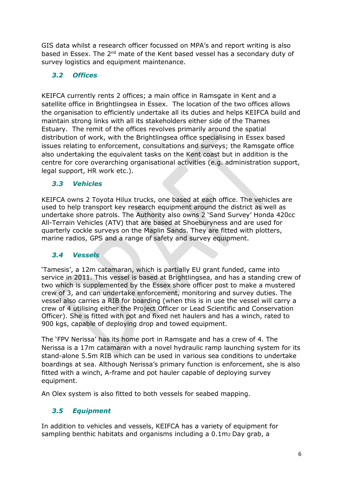GIS data whilst a research officer focussed on MPA's and report writing is also based in Essex. The 2<sup>nd</sup> mate of the Kent based vessel has a secondary duty of survey logistics and equipment maintenance.

## <span id="page-5-0"></span>*3.2 Offices*

KEIFCA currently rents 2 offices; a main office in Ramsgate in Kent and a satellite office in Brightlingsea in Essex. The location of the two offices allows the organisation to efficiently undertake all its duties and helps KEIFCA build and maintain strong links with all its stakeholders either side of the Thames Estuary. The remit of the offices revolves primarily around the spatial distribution of work, with the Brightlingsea office specialising in Essex based issues relating to enforcement, consultations and surveys; the Ramsgate office also undertaking the equivalent tasks on the Kent coast but in addition is the centre for core overarching organisational activities (e.g. administration support, legal support, HR work etc.).

## <span id="page-5-1"></span>*3.3 Vehicles*

KEIFCA owns 2 Toyota Hilux trucks, one based at each office. The vehicles are used to help transport key research equipment around the district as well as undertake shore patrols. The Authority also owns 2 'Sand Survey' Honda 420cc All-Terrain Vehicles (ATV) that are based at Shoeburyness and are used for quarterly cockle surveys on the Maplin Sands. They are fitted with plotters, marine radios, GPS and a range of safety and survey equipment.

# <span id="page-5-2"></span>*3.4 Vessels*

'Tamesis', a 12m catamaran, which is partially EU grant funded, came into service in 2011. This vessel is based at Brightlingsea, and has a standing crew of two which is supplemented by the Essex shore officer post to make a mustered crew of 3, and can undertake enforcement, monitoring and survey duties. The vessel also carries a RIB for boarding (when this is in use the vessel will carry a crew of 4 utilising either the Project Officer or Lead Scientific and Conservation Officer). She is fitted with pot and fixed net haulers and has a winch, rated to 900 kgs, capable of deploying drop and towed equipment.

The 'FPV Nerissa' has its home port in Ramsgate and has a crew of 4. The Nerissa is a 17m catamaran with a novel hydraulic ramp launching system for its stand-alone 5.5m RIB which can be used in various sea conditions to undertake boardings at sea. Although Nerissa's primary function is enforcement, she is also fitted with a winch, A-frame and pot hauler capable of deploying survey equipment.

An Olex system is also fitted to both vessels for seabed mapping.

#### <span id="page-5-3"></span>*3.5 Equipment*

In addition to vehicles and vessels, KEIFCA has a variety of equipment for sampling benthic habitats and organisms including a 0.1m<sub>2</sub> Day grab, a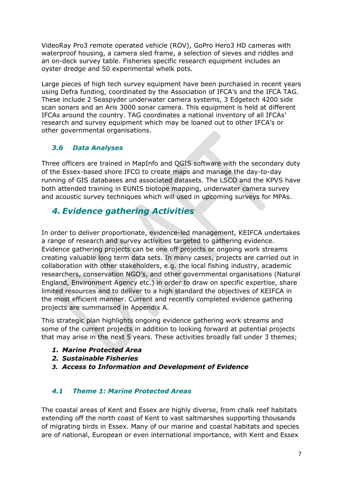VideoRay Pro3 remote operated vehicle (ROV), GoPro Hero3 HD cameras with waterproof housing, a camera sled frame, a selection of sieves and riddles and an on-deck survey table. Fisheries specific research equipment includes an oyster dredge and 50 experimental whelk pots.

Large pieces of high tech survey equipment have been purchased in recent years using Defra funding, coordinated by the Association of IFCA's and the IFCA TAG. These include 2 Seaspyder underwater camera systems, 3 Edgetech 4200 side scan sonars and an Aris 3000 sonar camera. This equipment is held at different IFCAs around the country. TAG coordinates a national inventory of all IFCAs' research and survey equipment which may be loaned out to other IFCA's or other governmental organisations.

## <span id="page-6-0"></span>*3.6 Data Analyses*

Three officers are trained in MapInfo and QGIS software with the secondary duty of the Essex-based shore IFCO to create maps and manage the day-to-day running of GIS databases and associated datasets. The LSCO and the KPVS have both attended training in EUNIS biotope mapping, underwater camera survey and acoustic survey techniques which will used in upcoming surveys for MPAs.

# <span id="page-6-1"></span>*4. Evidence gathering Activities*

In order to deliver proportionate, evidence-led management, KEIFCA undertakes a range of research and survey activities targeted to gathering evidence. Evidence gathering projects can be one off projects or ongoing work streams creating valuable long term data sets. In many cases, projects are carried out in collaboration with other stakeholders, e.g. the local fishing industry, academic researchers, conservation NGO's, and other governmental organisations (Natural England, Environment Agency etc.) in order to draw on specific expertise, share limited resources and to deliver to a high standard the objectives of KEIFCA in the most efficient manner. Current and recently completed evidence gathering projects are summarised in Appendix A.

This strategic plan highlights ongoing evidence gathering work streams and some of the current projects in addition to looking forward at potential projects that may arise in the next 5 years. These activities broadly fall under 3 themes;

- *1. Marine Protected Area*
- *2. Sustainable Fisheries*
- *3. Access to Information and Development of Evidence*

#### <span id="page-6-2"></span>*4.1 Theme 1: Marine Protected Areas*

The coastal areas of Kent and Essex are highly diverse, from chalk reef habitats extending off the north coast of Kent to vast saltmarshes supporting thousands of migrating birds in Essex. Many of our marine and coastal habitats and species are of national, European or even international importance, with Kent and Essex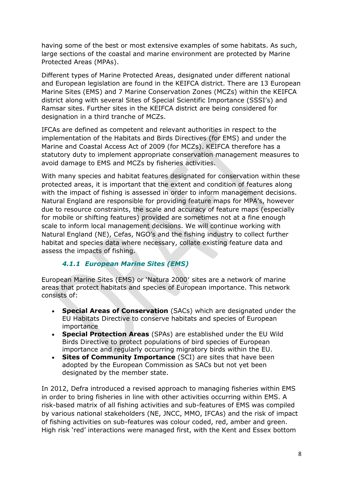having some of the best or most extensive examples of some habitats. As such, large sections of the coastal and marine environment are protected by Marine Protected Areas (MPAs).

Different types of Marine Protected Areas, designated under different national and European legislation are found in the KEIFCA district. There are 13 European Marine Sites (EMS) and 7 Marine Conservation Zones (MCZs) within the KEIFCA district along with several Sites of Special Scientific Importance (SSSI's) and Ramsar sites. Further sites in the KEIFCA district are being considered for designation in a third tranche of MCZs.

IFCAs are defined as competent and relevant authorities in respect to the implementation of the Habitats and Birds Directives (for EMS) and under the Marine and Coastal Access Act of 2009 (for MCZs). KEIFCA therefore has a statutory duty to implement appropriate conservation management measures to avoid damage to EMS and MCZs by fisheries activities.

With many species and habitat features designated for conservation within these protected areas, it is important that the extent and condition of features along with the impact of fishing is assessed in order to inform management decisions. Natural England are responsible for providing feature maps for MPA's, however due to resource constraints, the scale and accuracy of feature maps (especially for mobile or shifting features) provided are sometimes not at a fine enough scale to inform local management decisions. We will continue working with Natural England (NE), Cefas, NGO's and the fishing industry to collect further habitat and species data where necessary, collate existing feature data and assess the impacts of fishing.

#### *4.1.1 European Marine Sites (EMS)*

<span id="page-7-0"></span>European Marine Sites (EMS) or 'Natura 2000′ sites are a network of marine areas that protect habitats and species of European importance. This network consists of:

- **Special Areas of Conservation** (SACs) which are designated under the EU Habitats Directive to conserve habitats and species of European importance
- **Special Protection Areas** (SPAs) are established under the EU Wild Birds Directive to protect populations of bird species of European importance and regularly occurring migratory birds within the EU.
- **Sites of Community Importance** (SCI) are sites that have been adopted by the European Commission as SACs but not yet been designated by the member state.

In 2012, Defra introduced a revised approach to managing fisheries within EMS in order to bring fisheries in line with other activities occurring within EMS. A risk-based matrix of all fishing activities and sub-features of EMS was compiled by various national stakeholders (NE, JNCC, MMO, IFCAs) and the risk of impact of fishing activities on sub-features was colour coded, red, amber and green. High risk 'red' interactions were managed first, with the Kent and Essex bottom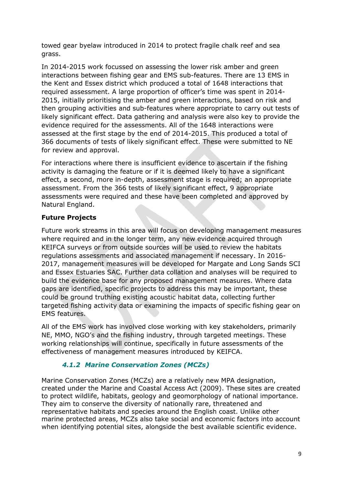towed gear byelaw introduced in 2014 to protect fragile chalk reef and sea grass.

In 2014-2015 work focussed on assessing the lower risk amber and green interactions between fishing gear and EMS sub-features. There are 13 EMS in the Kent and Essex district which produced a total of 1648 interactions that required assessment. A large proportion of officer's time was spent in 2014- 2015, initially prioritising the amber and green interactions, based on risk and then grouping activities and sub-features where appropriate to carry out tests of likely significant effect. Data gathering and analysis were also key to provide the evidence required for the assessments. All of the 1648 interactions were assessed at the first stage by the end of 2014-2015. This produced a total of 366 documents of tests of likely significant effect. These were submitted to NE for review and approval.

For interactions where there is insufficient evidence to ascertain if the fishing activity is damaging the feature or if it is deemed likely to have a significant effect, a second, more in-depth, assessment stage is required; an appropriate assessment. From the 366 tests of likely significant effect, 9 appropriate assessments were required and these have been completed and approved by Natural England.

#### **Future Projects**

Future work streams in this area will focus on developing management measures where required and in the longer term, any new evidence acquired through KEIFCA surveys or from outside sources will be used to review the habitats regulations assessments and associated management if necessary. In 2016- 2017, management measures will be developed for Margate and Long Sands SCI and Essex Estuaries SAC. Further data collation and analyses will be required to build the evidence base for any proposed management measures. Where data gaps are identified, specific projects to address this may be important, these could be ground truthing existing acoustic habitat data, collecting further targeted fishing activity data or examining the impacts of specific fishing gear on EMS features.

All of the EMS work has involved close working with key stakeholders, primarily NE, MMO, NGO's and the fishing industry, through targeted meetings. These working relationships will continue, specifically in future assessments of the effectiveness of management measures introduced by KEIFCA.

# *4.1.2 Marine Conservation Zones (MCZs)*

<span id="page-8-0"></span>Marine Conservation Zones (MCZs) are a relatively new MPA designation, created under the [Marine and Coastal Access Act \(2009\).](http://jncc.defra.gov.uk/page-5230) These sites are created to protect wildlife, habitats, geology and geomorphology of national importance. They aim to conserve the diversity of nationally rare, threatened and representative habitats and species around the English coast. Unlike other marine protected areas, MCZs also take social and economic factors into account when identifying potential sites, alongside the best available scientific evidence.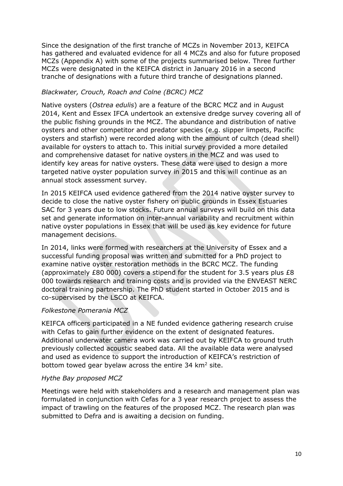Since the designation of the first tranche of MCZs in November 2013, KEIFCA has gathered and evaluated evidence for all 4 MCZs and also for future proposed MCZs (Appendix A) with some of the projects summarised below. Three further MCZs were designated in the KEIFCA district in January 2016 in a second tranche of designations with a future third tranche of designations planned.

#### *Blackwater, Crouch, Roach and Colne (BCRC) MCZ*

Native oysters (*Ostrea edulis*) are a feature of the BCRC MCZ and in August 2014, Kent and Essex IFCA undertook an extensive dredge survey covering all of the public fishing grounds in the MCZ. The abundance and distribution of native oysters and other competitor and predator species (e.g. slipper limpets, Pacific oysters and starfish) were recorded along with the amount of cultch (dead shell) available for oysters to attach to. This initial survey provided a more detailed and comprehensive dataset for native oysters in the MCZ and was used to identify key areas for native oysters. These data were used to design a more targeted native oyster population survey in 2015 and this will continue as an annual stock assessment survey.

In 2015 KEIFCA used evidence gathered from the 2014 native oyster survey to decide to close the native oyster fishery on public grounds in Essex Estuaries SAC for 3 years due to low stocks. Future annual surveys will build on this data set and generate information on inter-annual variability and recruitment within native oyster populations in Essex that will be used as key evidence for future management decisions.

In 2014, links were formed with researchers at the University of Essex and a successful funding proposal was written and submitted for a PhD project to examine native oyster restoration methods in the BCRC MCZ. The funding (approximately £80 000) covers a stipend for the student for 3.5 years plus £8 000 towards research and training costs and is provided via the ENVEAST NERC doctoral training partnership. The PhD student started in October 2015 and is co-supervised by the LSCO at KEIFCA.

#### *Folkestone Pomerania MCZ*

KEIFCA officers participated in a NE funded evidence gathering research cruise with Cefas to gain further evidence on the extent of designated features. Additional underwater camera work was carried out by KEIFCA to ground truth previously collected acoustic seabed data. All the available data were analysed and used as evidence to support the introduction of KEIFCA's restriction of bottom towed gear byelaw across the entire 34 km<sup>2</sup> site.

#### *Hythe Bay proposed MCZ*

Meetings were held with stakeholders and a research and management plan was formulated in conjunction with Cefas for a 3 year research project to assess the impact of trawling on the features of the proposed MCZ. The research plan was submitted to Defra and is awaiting a decision on funding.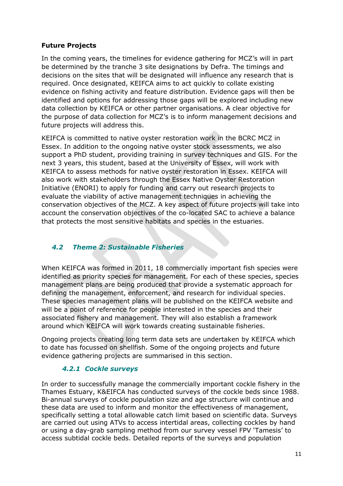#### **Future Projects**

In the coming years, the timelines for evidence gathering for MCZ's will in part be determined by the tranche 3 site designations by Defra. The timings and decisions on the sites that will be designated will influence any research that is required. Once designated, KEIFCA aims to act quickly to collate existing evidence on fishing activity and feature distribution. Evidence gaps will then be identified and options for addressing those gaps will be explored including new data collection by KEIFCA or other partner organisations. A clear objective for the purpose of data collection for MCZ's is to inform management decisions and future projects will address this.

KEIFCA is committed to native oyster restoration work in the BCRC MCZ in Essex. In addition to the ongoing native oyster stock assessments, we also support a PhD student, providing training in survey techniques and GIS. For the next 3 years, this student, based at the University of Essex, will work with KEIFCA to assess methods for native oyster restoration in Essex. KEIFCA will also work with stakeholders through the Essex Native Oyster Restoration Initiative (ENORI) to apply for funding and carry out research projects to evaluate the viability of active management techniques in achieving the conservation objectives of the MCZ. A key aspect of future projects will take into account the conservation objectives of the co-located SAC to achieve a balance that protects the most sensitive habitats and species in the estuaries.

# <span id="page-10-0"></span>*4.2 Theme 2: Sustainable Fisheries*

When KEIFCA was formed in 2011, 18 commercially important fish species were identified as priority species for management. For each of these species, species management plans are being produced that provide a systematic approach for defining the management, enforcement, and research for individual species. These species management plans will be published on the KEIFCA website and will be a point of reference for people interested in the species and their associated fishery and management. They will also establish a framework around which KEIFCA will work towards creating sustainable fisheries.

Ongoing projects creating long term data sets are undertaken by KEIFCA which to date has focussed on shellfish. Some of the ongoing projects and future evidence gathering projects are summarised in this section.

#### *4.2.1 Cockle surveys*

<span id="page-10-1"></span>In order to successfully manage the commercially important cockle fishery in the Thames Estuary, K&EIFCA has conducted surveys of the cockle beds since 1988. Bi-annual surveys of cockle population size and age structure will continue and these data are used to inform and monitor the effectiveness of management, specifically setting a total allowable catch limit based on scientific data. Surveys are carried out using ATVs to access intertidal areas, collecting cockles by hand or using a day-grab sampling method from our survey vessel FPV 'Tamesis' to access subtidal cockle beds. Detailed reports of the surveys and population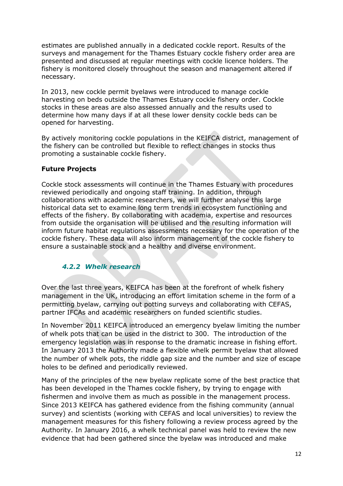estimates are published annually in a dedicated cockle report. Results of the surveys and management for the Thames Estuary cockle fishery order area are presented and discussed at regular meetings with cockle licence holders. The fishery is monitored closely throughout the season and management altered if necessary.

In 2013, new cockle permit byelaws were introduced to manage cockle harvesting on beds outside the Thames Estuary cockle fishery order. Cockle stocks in these areas are also assessed annually and the results used to determine how many days if at all these lower density cockle beds can be opened for harvesting.

By actively monitoring cockle populations in the KEIFCA district, management of the fishery can be controlled but flexible to reflect changes in stocks thus promoting a sustainable cockle fishery.

#### **Future Projects**

Cockle stock assessments will continue in the Thames Estuary with procedures reviewed periodically and ongoing staff training. In addition, through collaborations with academic researchers, we will further analyse this large historical data set to examine long term trends in ecosystem functioning and effects of the fishery. By collaborating with academia, expertise and resources from outside the organisation will be utilised and the resulting information will inform future habitat regulations assessments necessary for the operation of the cockle fishery. These data will also inform management of the cockle fishery to ensure a sustainable stock and a healthy and diverse environment.

#### *4.2.2 Whelk research*

<span id="page-11-0"></span>Over the last three years, KEIFCA has been at the forefront of whelk fishery management in the UK, introducing an effort limitation scheme in the form of a permitting byelaw, carrying out potting surveys and collaborating with CEFAS, partner IFCAs and academic researchers on funded scientific studies.

In November 2011 KEIFCA introduced an emergency byelaw limiting the number of whelk pots that can be used in the district to 300. The introduction of the emergency legislation was in response to the dramatic increase in fishing effort. In January 2013 the Authority made a flexible whelk permit byelaw that allowed the number of whelk pots, the riddle gap size and the number and size of escape holes to be defined and periodically reviewed.

Many of the principles of the new byelaw replicate some of the best practice that has been developed in the Thames cockle fishery, by trying to engage with fishermen and involve them as much as possible in the management process. Since 2013 KEIFCA has gathered evidence from the fishing community (annual survey) and scientists (working with CEFAS and local universities) to review the management measures for this fishery following a review process agreed by the Authority. In January 2016, a whelk technical panel was held to review the new evidence that had been gathered since the byelaw was introduced and make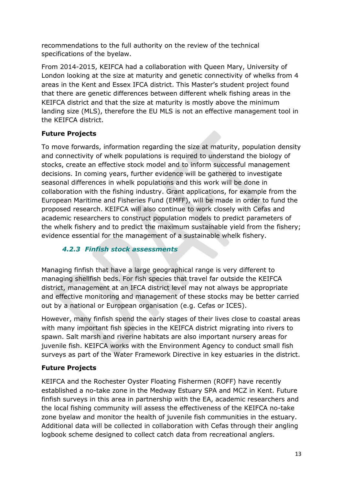recommendations to the full authority on the review of the technical specifications of the byelaw.

From 2014-2015, KEIFCA had a collaboration with Queen Mary, University of London looking at the size at maturity and genetic connectivity of whelks from 4 areas in the Kent and Essex IFCA district. This Master's student project found that there are genetic differences between different whelk fishing areas in the KEIFCA district and that the size at maturity is mostly above the minimum landing size (MLS), therefore the EU MLS is not an effective management tool in the KEIFCA district.

# **Future Projects**

To move forwards, information regarding the size at maturity, population density and connectivity of whelk populations is required to understand the biology of stocks, create an effective stock model and to inform successful management decisions. In coming years, further evidence will be gathered to investigate seasonal differences in whelk populations and this work will be done in collaboration with the fishing industry. Grant applications, for example from the European Maritime and Fisheries Fund (EMFF), will be made in order to fund the proposed research. KEIFCA will also continue to work closely with Cefas and academic researchers to construct population models to predict parameters of the whelk fishery and to predict the maximum sustainable yield from the fishery; evidence essential for the management of a sustainable whelk fishery.

# *4.2.3 Finfish stock assessments*

<span id="page-12-0"></span>Managing finfish that have a large geographical range is very different to managing shellfish beds. For fish species that travel far outside the KEIFCA district, management at an IFCA district level may not always be appropriate and effective monitoring and management of these stocks may be better carried out by a national or European organisation (e.g. Cefas or ICES).

However, many finfish spend the early stages of their lives close to coastal areas with many important fish species in the KEIFCA district migrating into rivers to spawn. Salt marsh and riverine habitats are also important nursery areas for juvenile fish. KEIFCA works with the Environment Agency to conduct small fish surveys as part of the Water Framework Directive in key estuaries in the district.

# **Future Projects**

KEIFCA and the Rochester Oyster Floating Fishermen (ROFF) have recently established a no-take zone in the Medway Estuary SPA and MCZ in Kent. Future finfish surveys in this area in partnership with the EA, academic researchers and the local fishing community will assess the effectiveness of the KEIFCA no-take zone byelaw and monitor the health of juvenile fish communities in the estuary. Additional data will be collected in collaboration with Cefas through their angling logbook scheme designed to collect catch data from recreational anglers.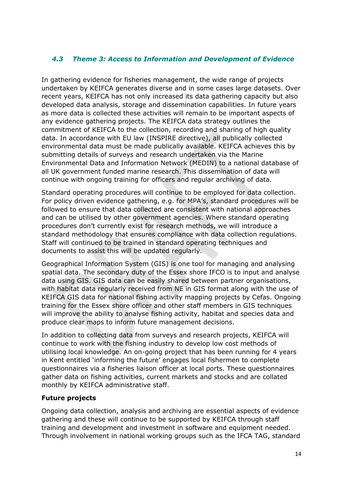## <span id="page-13-0"></span>*4.3 Theme 3: Access to Information and Development of Evidence*

In gathering evidence for fisheries management, the wide range of projects undertaken by KEIFCA generates diverse and in some cases large datasets. Over recent years, KEIFCA has not only increased its data gathering capacity but also developed data analysis, storage and dissemination capabilities. In future years as more data is collected these activities will remain to be important aspects of any evidence gathering projects. The KEIFCA data strategy outlines the commitment of KEIFCA to the collection, recording and sharing of high quality data. In accordance with EU law (INSPIRE directive), all publically collected environmental data must be made publically available. KEIFCA achieves this by submitting details of surveys and research undertaken via the Marine Environmental Data and Information Network (MEDIN) to a national database of all UK government funded marine research. This dissemination of data will continue with ongoing training for officers and regular archiving of data.

Standard operating procedures will continue to be employed for data collection. For policy driven evidence gathering, e.g. for MPA's, standard procedures will be followed to ensure that data collected are consistent with national approaches and can be utilised by other government agencies. Where standard operating procedures don't currently exist for research methods, we will introduce a standard methodology that ensures compliance with data collection regulations. Staff will continued to be trained in standard operating techniques and documents to assist this will be updated regularly.

Geographical Information System (GIS) is one tool for managing and analysing spatial data. The secondary duty of the Essex shore IFCO is to input and analyse data using GIS. GIS data can be easily shared between partner organisations, with habitat data regularly received from NE in GIS format along with the use of KEIFCA GIS data for national fishing activity mapping projects by Cefas. Ongoing training for the Essex shore officer and other staff members in GIS techniques will improve the ability to analyse fishing activity, habitat and species data and produce clear maps to inform future management decisions.

In addition to collecting data from surveys and research projects, KEIFCA will continue to work with the fishing industry to develop low cost methods of utilising local knowledge. An on-going project that has been running for 4 years in Kent entitled 'informing the future' engages local fishermen to complete questionnaires via a fisheries liaison officer at local ports. These questionnaires gather data on fishing activities, current markets and stocks and are collated monthly by KEIFCA administrative staff.

#### **Future projects**

Ongoing data collection, analysis and archiving are essential aspects of evidence gathering and these will continue to be supported by KEIFCA through staff training and development and investment in software and equipment needed. Through involvement in national working groups such as the IFCA TAG, standard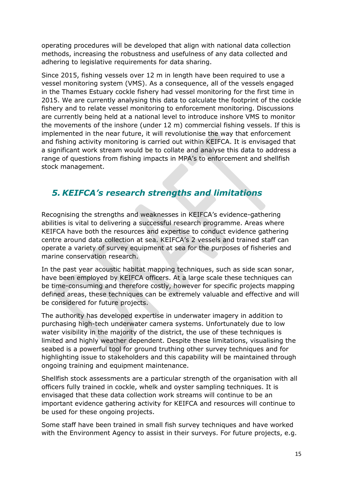operating procedures will be developed that align with national data collection methods, increasing the robustness and usefulness of any data collected and adhering to legislative requirements for data sharing.

Since 2015, fishing vessels over 12 m in length have been required to use a vessel monitoring system (VMS). As a consequence, all of the vessels engaged in the Thames Estuary cockle fishery had vessel monitoring for the first time in 2015. We are currently analysing this data to calculate the footprint of the cockle fishery and to relate vessel monitoring to enforcement monitoring. Discussions are currently being held at a national level to introduce inshore VMS to monitor the movements of the inshore (under 12 m) commercial fishing vessels. If this is implemented in the near future, it will revolutionise the way that enforcement and fishing activity monitoring is carried out within KEIFCA. It is envisaged that a significant work stream would be to collate and analyse this data to address a range of questions from fishing impacts in MPA's to enforcement and shellfish stock management.

# <span id="page-14-0"></span>*5. KEIFCA's research strengths and limitations*

Recognising the strengths and weaknesses in KEIFCA's evidence-gathering abilities is vital to delivering a successful research programme. Areas where KEIFCA have both the resources and expertise to conduct evidence gathering centre around data collection at sea. KEIFCA's 2 vessels and trained staff can operate a variety of survey equipment at sea for the purposes of fisheries and marine conservation research.

In the past year acoustic habitat mapping techniques, such as side scan sonar, have been employed by KEIFCA officers. At a large scale these techniques can be time-consuming and therefore costly, however for specific projects mapping defined areas, these techniques can be extremely valuable and effective and will be considered for future projects.

The authority has developed expertise in underwater imagery in addition to purchasing high-tech underwater camera systems. Unfortunately due to low water visibility in the majority of the district, the use of these techniques is limited and highly weather dependent. Despite these limitations, visualising the seabed is a powerful tool for ground truthing other survey techniques and for highlighting issue to stakeholders and this capability will be maintained through ongoing training and equipment maintenance.

Shellfish stock assessments are a particular strength of the organisation with all officers fully trained in cockle, whelk and oyster sampling techniques. It is envisaged that these data collection work streams will continue to be an important evidence gathering activity for KEIFCA and resources will continue to be used for these ongoing projects.

Some staff have been trained in small fish survey techniques and have worked with the Environment Agency to assist in their surveys. For future projects, e.g.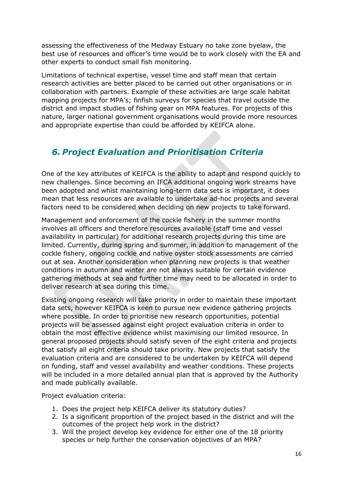assessing the effectiveness of the Medway Estuary no take zone byelaw, the best use of resources and officer's time would be to work closely with the EA and other experts to conduct small fish monitoring.

Limitations of technical expertise, vessel time and staff mean that certain research activities are better placed to be carried out other organisations or in collaboration with partners. Example of these activities are large scale habitat mapping projects for MPA's; finfish surveys for species that travel outside the district and impact studies of fishing gear on MPA features. For projects of this nature, larger national government organisations would provide more resources and appropriate expertise than could be afforded by KEIFCA alone.

# <span id="page-15-0"></span>*6. Project Evaluation and Prioritisation Criteria*

One of the key attributes of KEIFCA is the ability to adapt and respond quickly to new challenges. Since becoming an IFCA additional ongoing work streams have been adopted and whist maintaining long-term data sets is important, it does mean that less resources are available to undertake ad-hoc projects and several factors need to be considered when deciding on new projects to take forward.

Management and enforcement of the cockle fishery in the summer months involves all officers and therefore resources available (staff time and vessel availability in particular) for additional research projects during this time are limited. Currently, during spring and summer, in addition to management of the cockle fishery, ongoing cockle and native oyster stock assessments are carried out at sea. Another consideration when planning new projects is that weather conditions in autumn and winter are not always suitable for certain evidence gathering methods at sea and further time may need to be allocated in order to deliver research at sea during this time.

Existing ongoing research will take priority in order to maintain these important data sets, however KEIFCA is keen to pursue new evidence gathering projects where possible. In order to prioritise new research opportunities, potential projects will be assessed against eight project evaluation criteria in order to obtain the most effective evidence whilst maximising our limited resource. In general proposed projects should satisfy seven of the eight criteria and projects that satisfy all eight criteria should take priority. New projects that satisfy the evaluation criteria and are considered to be undertaken by KEIFCA will depend on funding, staff and vessel availability and weather conditions. These projects will be included in a more detailed annual plan that is approved by the Authority and made publically available.

Project evaluation criteria:

- 1. Does the project help KEIFCA deliver its statutory duties?
- 2. Is a significant proportion of the project based in the district and will the outcomes of the project help work in the district?
- 3. Will the project develop key evidence for either one of the 18 priority species or help further the conservation objectives of an MPA?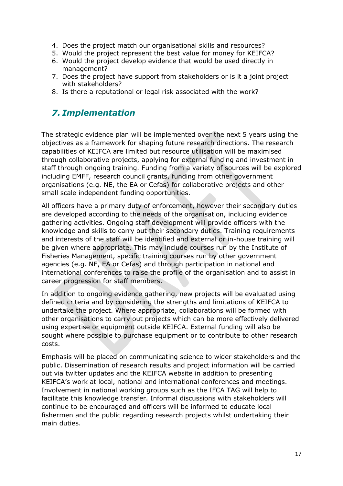- 4. Does the project match our organisational skills and resources?
- 5. Would the project represent the best value for money for KEIFCA?
- 6. Would the project develop evidence that would be used directly in management?
- 7. Does the project have support from stakeholders or is it a joint project with stakeholders?
- 8. Is there a reputational or legal risk associated with the work?

# <span id="page-16-0"></span>*7. Implementation*

The strategic evidence plan will be implemented over the next 5 years using the objectives as a framework for shaping future research directions. The research capabilities of KEIFCA are limited but resource utilisation will be maximised through collaborative projects, applying for external funding and investment in staff through ongoing training. Funding from a variety of sources will be explored including EMFF, research council grants, funding from other government organisations (e.g. NE, the EA or Cefas) for collaborative projects and other small scale independent funding opportunities.

All officers have a primary duty of enforcement, however their secondary duties are developed according to the needs of the organisation, including evidence gathering activities. Ongoing staff development will provide officers with the knowledge and skills to carry out their secondary duties. Training requirements and interests of the staff will be identified and external or in-house training will be given where appropriate. This may include courses run by the Institute of Fisheries Management, specific training courses run by other government agencies (e.g. NE, EA or Cefas) and through participation in national and international conferences to raise the profile of the organisation and to assist in career progression for staff members.

In addition to ongoing evidence gathering, new projects will be evaluated using defined criteria and by considering the strengths and limitations of KEIFCA to undertake the project. Where appropriate, collaborations will be formed with other organisations to carry out projects which can be more effectively delivered using expertise or equipment outside KEIFCA. External funding will also be sought where possible to purchase equipment or to contribute to other research costs.

Emphasis will be placed on communicating science to wider stakeholders and the public. Dissemination of research results and project information will be carried out via twitter updates and the KEIFCA website in addition to presenting KEIFCA's work at local, national and international conferences and meetings. Involvement in national working groups such as the IFCA TAG will help to facilitate this knowledge transfer. Informal discussions with stakeholders will continue to be encouraged and officers will be informed to educate local fishermen and the public regarding research projects whilst undertaking their main duties.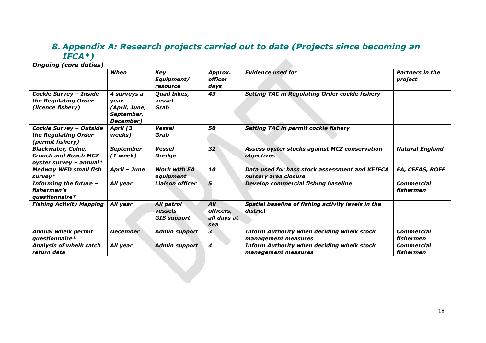# *8. Appendix A: Research projects carried out to date (Projects since becoming an IFCA\*)*

<span id="page-17-0"></span>

| <b>Ongoing (core duties)</b>                                                          |                                                                 |                                             |                                        |                                                                          |                                   |
|---------------------------------------------------------------------------------------|-----------------------------------------------------------------|---------------------------------------------|----------------------------------------|--------------------------------------------------------------------------|-----------------------------------|
|                                                                                       | When                                                            | Key<br>Equipment/<br>resource               | Approx.<br><i>officer</i><br>days      | <b>Evidence used for</b>                                                 | <b>Partners in the</b><br>project |
| <b>Cockle Survey - Inside</b><br>the Regulating Order<br>(licence fishery)            | 4 surveys a<br>vear<br>(April, June,<br>September,<br>December) | Quad bikes,<br>vessel<br>Grab               | 43                                     | <b>Setting TAC in Regulating Order cockle fishery</b>                    |                                   |
| <b>Cockle Survey - Outside</b><br>the Regulating Order<br>(permit fishery)            | April (3<br>weeks)                                              | <b>Vessel</b><br>Grab                       | 50                                     | <b>Setting TAC in permit cockle fishery</b>                              |                                   |
| <b>Blackwater, Colne,</b><br><b>Crouch and Roach MCZ</b><br>oyster survey $-$ annual* | <b>September</b><br>$(1$ week)                                  | <b>Vessel</b><br><b>Dredge</b>              | 32                                     | Assess oyster stocks against MCZ conservation<br>objectives              | <b>Natural England</b>            |
| <b>Medway WFD small fish</b><br>survey*                                               | April - June                                                    | <b>Work with EA</b><br>equipment            | 10                                     | Data used for bass stock assessment and KEIFCA<br>nursery area closure   | <b>EA, CEFAS, ROFF</b>            |
| Informing the future $-$<br>fishermen's<br>questionnaire*                             | All year                                                        | <b>Liaison officer</b>                      | 5                                      | Develop commercial fishing baseline                                      | <b>Commercial</b><br>fishermen    |
| <b>Fishing Activity Mapping</b>                                                       | All year                                                        | All patrol<br>vessels<br><b>GIS support</b> | All<br>officers,<br>all days at<br>sea | Spatial baseline of fishing activity levels in the<br>district           |                                   |
| <b>Annual whelk permit</b><br>questionnaire*                                          | <b>December</b>                                                 | <b>Admin support</b>                        | 3                                      | <b>Inform Authority when deciding whelk stock</b><br>management measures | <b>Commercial</b><br>fishermen    |
| <b>Analysis of whelk catch</b><br>return data                                         | All year                                                        | <b>Admin support</b>                        | 4                                      | <b>Inform Authority when deciding whelk stock</b><br>management measures | <b>Commercial</b><br>fishermen    |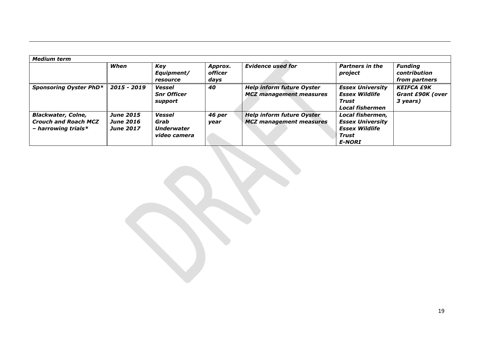| <b>Medium term</b>                                                              |                                                          |                                                     |                            |                                                                    |                                                                                                |                                                          |
|---------------------------------------------------------------------------------|----------------------------------------------------------|-----------------------------------------------------|----------------------------|--------------------------------------------------------------------|------------------------------------------------------------------------------------------------|----------------------------------------------------------|
|                                                                                 | When                                                     | Key<br>Equipment/<br>resource                       | Approx.<br>officer<br>days | <b>Evidence used for</b>                                           | <b>Partners in the</b><br>project                                                              | <b>Funding</b><br><b>contribution</b><br>from partners   |
| Sponsoring Oyster PhD*                                                          | 2015 - 2019                                              | Vessel<br><b>Snr Officer</b><br>support             | 40                         | <b>Help inform future Oyster</b><br><b>MCZ management measures</b> | <b>Essex University</b><br><b>Essex Wildlife</b><br>Trust<br>Local fishermen                   | <b>KEIFCA £9K</b><br><b>Grant £90K (over</b><br>3 years) |
| <b>Blackwater, Colne,</b><br><b>Crouch and Roach MCZ</b><br>- harrowing trials* | <b>June 2015</b><br><b>June 2016</b><br><b>June 2017</b> | <b>Vessel</b><br>Grab<br>Underwater<br>video camera | 46 per<br>vear             | <b>Help inform future Oyster</b><br><b>MCZ</b> management measures | Local fishermen,<br><b>Essex University</b><br><b>Essex Wildlife</b><br>Trust<br><b>E-NORI</b> |                                                          |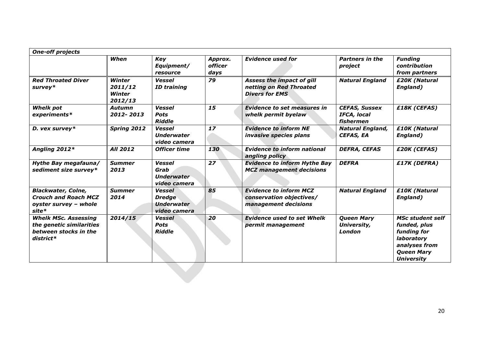| <b>One-off projects</b>                                                                         |                                        |                                                                     |                                   |                                                                                   |                                                  |                                                                                                                                 |
|-------------------------------------------------------------------------------------------------|----------------------------------------|---------------------------------------------------------------------|-----------------------------------|-----------------------------------------------------------------------------------|--------------------------------------------------|---------------------------------------------------------------------------------------------------------------------------------|
|                                                                                                 | When                                   | Key<br>Equipment/<br>resource                                       | Approx.<br><i>officer</i><br>days | <b>Evidence used for</b>                                                          | <b>Partners in the</b><br>project                | <b>Funding</b><br>contribution<br>from partners                                                                                 |
| <b>Red Throated Diver</b><br>$s$ urvey $*$                                                      | Winter<br>2011/12<br>Winter<br>2012/13 | <b>Vessel</b><br><b>ID training</b>                                 | 79                                | Assess the impact of gill<br>netting on Red Throated<br><b>Divers for EMS</b>     | <b>Natural England</b>                           | £20K (Natural<br>England)                                                                                                       |
| <b>Whelk pot</b><br>experiments*                                                                | <b>Autumn</b><br>2012-2013             | <b>Vessel</b><br><b>Pots</b><br><b>Riddle</b>                       | 15                                | <b>Evidence to set measures in</b><br>whelk permit byelaw                         | <b>CEFAS, Sussex</b><br>IFCA, local<br>fishermen | £18K (CEFAS)                                                                                                                    |
| D. vex survey*                                                                                  | Spring 2012                            | <b>Vessel</b><br><b>Underwater</b><br>video camera                  | 17                                | <b>Evidence to inform NE</b><br>invasive species plans                            | <b>Natural England,</b><br><b>CEFAS, EA</b>      | £10K (Natural<br>England)                                                                                                       |
| Angling 2012*                                                                                   | <b>All 2012</b>                        | <b>Officer time</b>                                                 | 130                               | <b>Evidence to inform national</b><br>angling policy                              | <b>DEFRA, CEFAS</b>                              | <b>£20K (CEFAS)</b>                                                                                                             |
| Hythe Bay megafauna/<br>sediment size survey*                                                   | <b>Summer</b><br>2013                  | <b>Vessel</b><br>Grab<br><b>Underwater</b><br>video camera          | 27                                | <b>Evidence to inform Hythe Bay</b><br><b>MCZ management decisions</b>            | <b>DEFRA</b>                                     | £17K (DEFRA)                                                                                                                    |
| <b>Blackwater, Colne,</b><br><b>Crouch and Roach MCZ</b><br>oyster survey - whole<br>$site*$    | <b>Summer</b><br>2014                  | <b>Vessel</b><br><b>Dredge</b><br><b>Underwater</b><br>video camera | 85                                | <b>Evidence to inform MCZ</b><br>conservation objectives/<br>management decisions | <b>Natural England</b>                           | £10K (Natural<br>England)                                                                                                       |
| <b>Whelk MSc. Assessing</b><br>the genetic similarities<br>between stocks in the<br>$district*$ | 2014/15                                | <b>Vessel</b><br><b>Pots</b><br><b>Riddle</b>                       | 20                                | <b>Evidence used to set Whelk</b><br>permit management                            | <b>Queen Mary</b><br>University,<br>London       | <b>MSc student self</b><br>funded, plus<br>funding for<br>laboratory<br>analyses from<br><b>Queen Mary</b><br><b>University</b> |
|                                                                                                 |                                        |                                                                     |                                   |                                                                                   |                                                  |                                                                                                                                 |